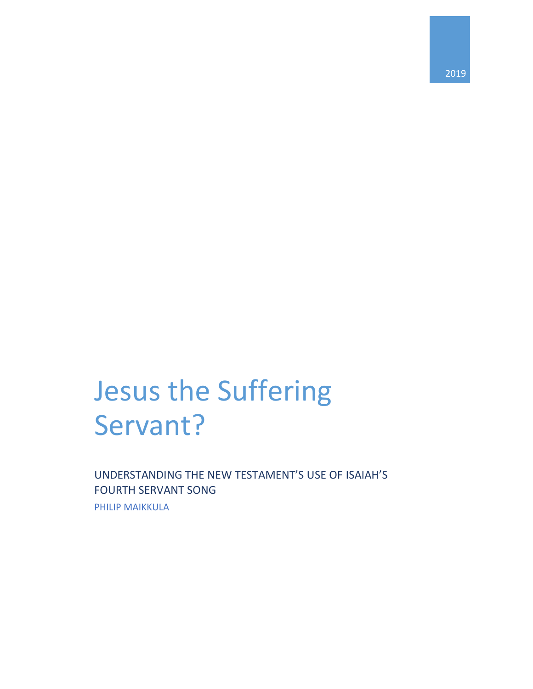## Jesus the Suffering Servant?

UNDERSTANDING THE NEW TESTAMENT'S USE OF ISAIAH'S FOURTH SERVANT SONG

PHILIP MAIKKULA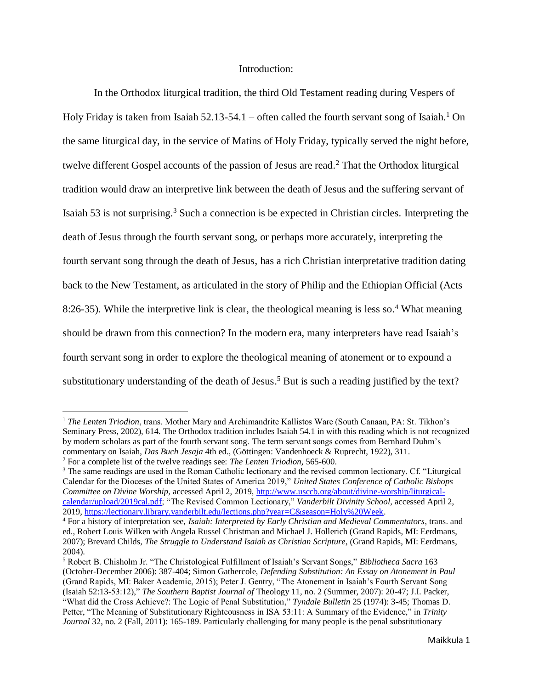## Introduction:

In the Orthodox liturgical tradition, the third Old Testament reading during Vespers of Holy Friday is taken from Isaiah 52.13-54.1 – often called the fourth servant song of Isaiah.<sup>1</sup> On the same liturgical day, in the service of Matins of Holy Friday, typically served the night before, twelve different Gospel accounts of the passion of Jesus are read. <sup>2</sup> That the Orthodox liturgical tradition would draw an interpretive link between the death of Jesus and the suffering servant of Isaiah 53 is not surprising. <sup>3</sup> Such a connection is be expected in Christian circles. Interpreting the death of Jesus through the fourth servant song, or perhaps more accurately, interpreting the fourth servant song through the death of Jesus, has a rich Christian interpretative tradition dating back to the New Testament, as articulated in the story of Philip and the Ethiopian Official (Acts 8:26-35). While the interpretive link is clear, the theological meaning is less so. <sup>4</sup> What meaning should be drawn from this connection? In the modern era, many interpreters have read Isaiah's fourth servant song in order to explore the theological meaning of atonement or to expound a substitutionary understanding of the death of Jesus.<sup>5</sup> But is such a reading justified by the text?

 $\overline{a}$ 

<sup>1</sup> *The Lenten Triodion*, trans. Mother Mary and Archimandrite Kallistos Ware (South Canaan, PA: St. Tikhon's Seminary Press, 2002), 614. The Orthodox tradition includes Isaiah 54.1 in with this reading which is not recognized by modern scholars as part of the fourth servant song. The term servant songs comes from Bernhard Duhm's commentary on Isaiah, *Das Buch Jesaja* 4th ed., (Göttingen: Vandenhoeck & Ruprecht, 1922), 311.

<sup>2</sup> For a complete list of the twelve readings see: *The Lenten Triodion,* 565-600.

<sup>3</sup> The same readings are used in the Roman Catholic lectionary and the revised common lectionary. Cf. "Liturgical Calendar for the Dioceses of the United States of America 2019," *United States Conference of Catholic Bishops Committee on Divine Worship,* accessed April 2, 2019, [http://www.usccb.org/about/divine-worship/liturgical](http://www.usccb.org/about/divine-worship/liturgical-calendar/upload/2019cal.pdf)[calendar/upload/2019cal.pdf;](http://www.usccb.org/about/divine-worship/liturgical-calendar/upload/2019cal.pdf) "The Revised Common Lectionary," *Vanderbilt Divinity School*, accessed April 2, 2019, [https://lectionary.library.vanderbilt.edu/lections.php?year=C&season=Holy%20Week.](https://lectionary.library.vanderbilt.edu/lections.php?year=C&season=Holy%20Week)

<sup>4</sup> For a history of interpretation see, *Isaiah: Interpreted by Early Christian and Medieval Commentators*, trans. and ed., Robert Louis Wilken with Angela Russel Christman and Michael J. Hollerich (Grand Rapids, MI: Eerdmans, 2007); Brevard Childs, *The Struggle to Understand Isaiah as Christian Scripture*, (Grand Rapids, MI: Eerdmans, 2004).

<sup>5</sup> Robert B. Chisholm Jr. "The Christological Fulfillment of Isaiah's Servant Songs," *Bibliotheca Sacra* 163 (October-December 2006): 387-404; Simon Gathercole, *Defending Substitution: An Essay on Atonement in Paul* (Grand Rapids, MI: Baker Academic, 2015); Peter J. Gentry, "The Atonement in Isaiah's Fourth Servant Song (Isaiah 52:13-53:12)," *The Southern Baptist Journal of* Theology 11, no. 2 (Summer, 2007): 20-47; J.I. Packer, "What did the Cross Achieve?: The Logic of Penal Substitution," *Tyndale Bulletin* 25 (1974): 3-45; Thomas D. Petter, "The Meaning of Substitutionary Righteousness in ISA 53:11: A Summary of the Evidence," in *Trinity Journal* 32, no. 2 (Fall, 2011): 165-189. Particularly challenging for many people is the penal substitutionary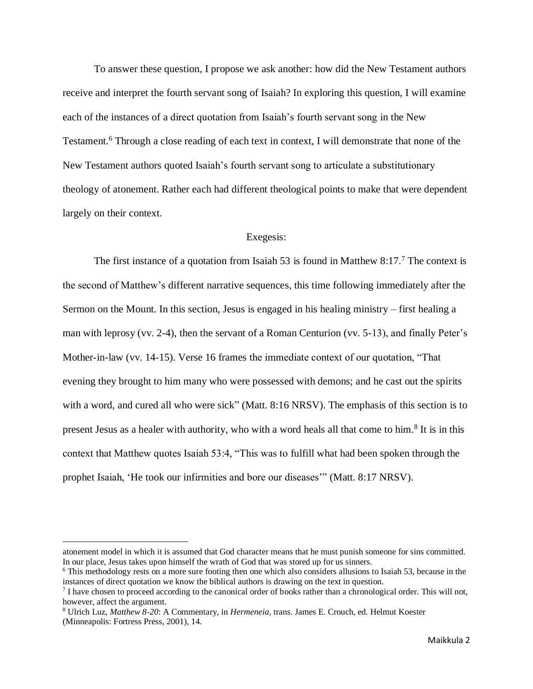To answer these question, I propose we ask another: how did the New Testament authors receive and interpret the fourth servant song of Isaiah? In exploring this question, I will examine each of the instances of a direct quotation from Isaiah's fourth servant song in the New Testament. <sup>6</sup> Through a close reading of each text in context, I will demonstrate that none of the New Testament authors quoted Isaiah's fourth servant song to articulate a substitutionary theology of atonement. Rather each had different theological points to make that were dependent largely on their context.

## Exegesis:

The first instance of a quotation from Isaiah 53 is found in Matthew 8:17.<sup>7</sup> The context is the second of Matthew's different narrative sequences, this time following immediately after the Sermon on the Mount. In this section, Jesus is engaged in his healing ministry – first healing a man with leprosy (vv. 2-4), then the servant of a Roman Centurion (vv. 5-13), and finally Peter's Mother-in-law (vv. 14-15). Verse 16 frames the immediate context of our quotation, "That evening they brought to him many who were possessed with demons; and he cast out the spirits with a word, and cured all who were sick" (Matt. 8:16 NRSV). The emphasis of this section is to present Jesus as a healer with authority, who with a word heals all that come to him.<sup>8</sup> It is in this context that Matthew quotes Isaiah 53:4, "This was to fulfill what had been spoken through the prophet Isaiah, 'He took our infirmities and bore our diseases'" (Matt. 8:17 NRSV).

l

atonement model in which it is assumed that God character means that he must punish someone for sins committed. In our place, Jesus takes upon himself the wrath of God that was stored up for us sinners.

<sup>6</sup> This methodology rests on a more sure footing then one which also considers allusions to Isaiah 53, because in the instances of direct quotation we know the biblical authors is drawing on the text in question.

 $^7$  I have chosen to proceed according to the canonical order of books rather than a chronological order. This will not, however, affect the argument.

<sup>8</sup> Ulrich Luz, *Matthew 8-20*: A Commentary, in *Hermeneia,* trans. James E. Crouch, ed. Helmut Koester (Minneapolis: Fortress Press, 2001), 14.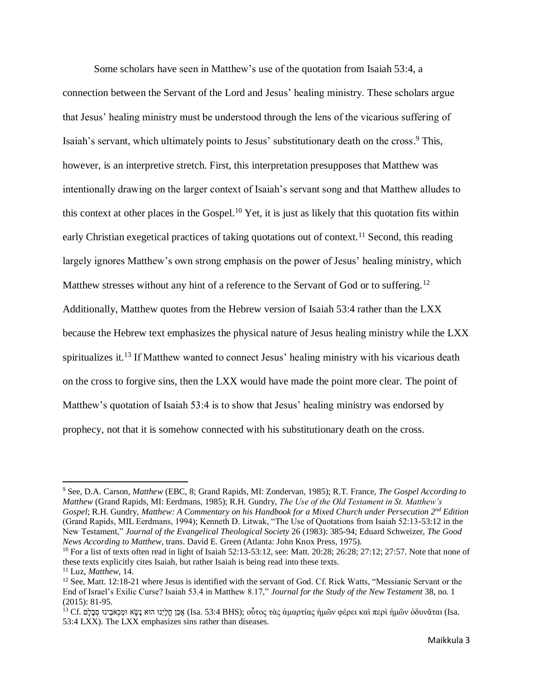Some scholars have seen in Matthew's use of the quotation from Isaiah 53:4, a connection between the Servant of the Lord and Jesus' healing ministry. These scholars argue that Jesus' healing ministry must be understood through the lens of the vicarious suffering of Isaiah's servant, which ultimately points to Jesus' substitutionary death on the cross. <sup>9</sup> This, however, is an interpretive stretch. First, this interpretation presupposes that Matthew was intentionally drawing on the larger context of Isaiah's servant song and that Matthew alludes to this context at other places in the Gospel.<sup>10</sup> Yet, it is just as likely that this quotation fits within early Christian exegetical practices of taking quotations out of context.<sup>11</sup> Second, this reading largely ignores Matthew's own strong emphasis on the power of Jesus' healing ministry, which Matthew stresses without any hint of a reference to the Servant of God or to suffering.<sup>12</sup> Additionally, Matthew quotes from the Hebrew version of Isaiah 53:4 rather than the LXX because the Hebrew text emphasizes the physical nature of Jesus healing ministry while the LXX spiritualizes it.<sup>13</sup> If Matthew wanted to connect Jesus' healing ministry with his vicarious death on the cross to forgive sins, then the LXX would have made the point more clear. The point of Matthew's quotation of Isaiah 53:4 is to show that Jesus' healing ministry was endorsed by prophecy, not that it is somehow connected with his substitutionary death on the cross.

l

<sup>9</sup> See, D.A. Carson, *Matthew* (EBC, 8; Grand Rapids, MI: Zondervan, 1985); R.T. France, *The Gospel According to Matthew* (Grand Rapids, MI: Eerdmans, 1985); R.H. Gundry, *The Use of the Old Testament in St. Matthew's Gospel*; R.H. Gundry, *Matthew: A Commentary on his Handbook for a Mixed Church under Persecution 2nd Edition* (Grand Rapids, MIL Eerdmans, 1994); Kenneth D. Litwak, "The Use of Quotations from Isaiah 52:13-53:12 in the New Testament," *Journal of the Evangelical Theological Society* 26 (1983): 385-94; Eduard Schweizer, *The Good News According to Matthew,* trans. David E. Green (Atlanta: John Knox Press, 1975).

<sup>&</sup>lt;sup>10</sup> For a list of texts often read in light of Isaiah 52:13-53:12, see: Matt. 20:28; 26:28; 27:12; 27:57. Note that none of these texts explicitly cites Isaiah, but rather Isaiah is being read into these texts.

<sup>11</sup> Luz, *Matthew*, 14.

<sup>&</sup>lt;sup>12</sup> See, Matt. 12:18-21 where Jesus is identified with the servant of God. Cf. Rick Watts, "Messianic Servant or the End of Israel's Exilic Curse? Isaiah 53.4 in Matthew 8.17," *Journal for the Study of the New Testament* 38, no. 1 (2015): 81-95.

 $^{13}$  Cf. אָכֵן חֱלְיֵנוּ הוּא נָשָׂא וּמַכְאֹבֵינוּ σει ξερί ήμῶν ἀρει καὶ περὶ ήμῶν ὀδυνᾶται (Isa. 53:4 LXX). The LXX emphasizes sins rather than diseases.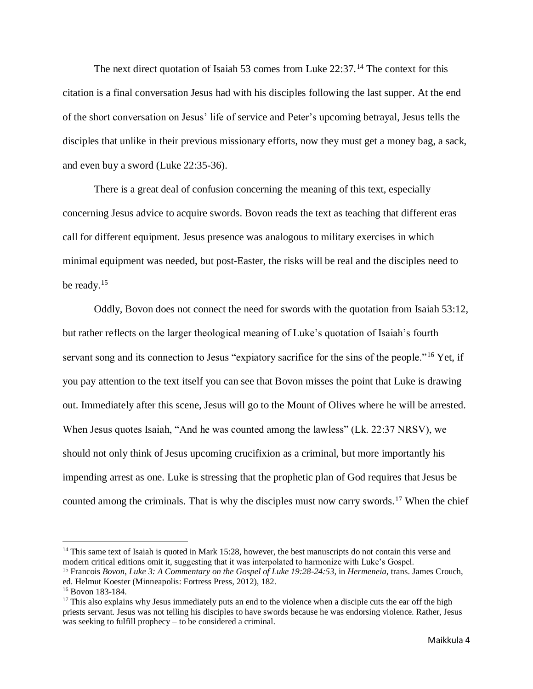The next direct quotation of Isaiah 53 comes from Luke 22:37.<sup>14</sup> The context for this citation is a final conversation Jesus had with his disciples following the last supper. At the end of the short conversation on Jesus' life of service and Peter's upcoming betrayal, Jesus tells the disciples that unlike in their previous missionary efforts, now they must get a money bag, a sack, and even buy a sword (Luke 22:35-36).

There is a great deal of confusion concerning the meaning of this text, especially concerning Jesus advice to acquire swords. Bovon reads the text as teaching that different eras call for different equipment. Jesus presence was analogous to military exercises in which minimal equipment was needed, but post-Easter, the risks will be real and the disciples need to be ready.<sup>15</sup>

Oddly, Bovon does not connect the need for swords with the quotation from Isaiah 53:12, but rather reflects on the larger theological meaning of Luke's quotation of Isaiah's fourth servant song and its connection to Jesus "expiatory sacrifice for the sins of the people."<sup>16</sup> Yet, if you pay attention to the text itself you can see that Bovon misses the point that Luke is drawing out. Immediately after this scene, Jesus will go to the Mount of Olives where he will be arrested. When Jesus quotes Isaiah, "And he was counted among the lawless" (Lk. 22:37 NRSV), we should not only think of Jesus upcoming crucifixion as a criminal, but more importantly his impending arrest as one. Luke is stressing that the prophetic plan of God requires that Jesus be counted among the criminals. That is why the disciples must now carry swords.<sup>17</sup> When the chief

l

 $14$  This same text of Isaiah is quoted in Mark 15:28, however, the best manuscripts do not contain this verse and modern critical editions omit it, suggesting that it was interpolated to harmonize with Luke's Gospel.

<sup>15</sup> Francois *Bovon*, *Luke 3: A Commentary on the Gospel of Luke 19:28-24:53*, in *Hermeneia,* trans. James Crouch, ed. Helmut Koester (Minneapolis: Fortress Press, 2012), 182.

<sup>16</sup> Bovon 183-184.

<sup>&</sup>lt;sup>17</sup> This also explains why Jesus immediately puts an end to the violence when a disciple cuts the ear off the high priests servant. Jesus was not telling his disciples to have swords because he was endorsing violence. Rather, Jesus was seeking to fulfill prophecy – to be considered a criminal.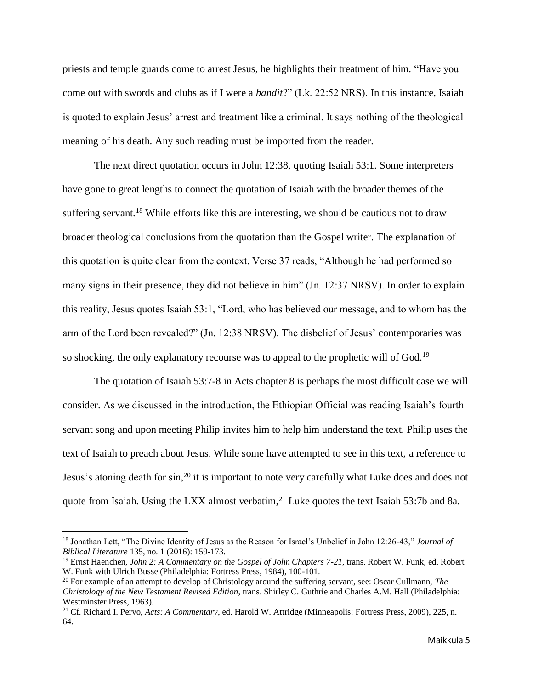priests and temple guards come to arrest Jesus, he highlights their treatment of him. "Have you come out with swords and clubs as if I were a *bandit*?" (Lk. 22:52 NRS). In this instance, Isaiah is quoted to explain Jesus' arrest and treatment like a criminal. It says nothing of the theological meaning of his death. Any such reading must be imported from the reader.

The next direct quotation occurs in John 12:38, quoting Isaiah 53:1. Some interpreters have gone to great lengths to connect the quotation of Isaiah with the broader themes of the suffering servant.<sup>18</sup> While efforts like this are interesting, we should be cautious not to draw broader theological conclusions from the quotation than the Gospel writer. The explanation of this quotation is quite clear from the context. Verse 37 reads, "Although he had performed so many signs in their presence, they did not believe in him" (Jn. 12:37 NRSV). In order to explain this reality, Jesus quotes Isaiah 53:1, "Lord, who has believed our message, and to whom has the arm of the Lord been revealed?" (Jn. 12:38 NRSV). The disbelief of Jesus' contemporaries was so shocking, the only explanatory recourse was to appeal to the prophetic will of God.<sup>19</sup>

The quotation of Isaiah 53:7-8 in Acts chapter 8 is perhaps the most difficult case we will consider. As we discussed in the introduction, the Ethiopian Official was reading Isaiah's fourth servant song and upon meeting Philip invites him to help him understand the text. Philip uses the text of Isaiah to preach about Jesus. While some have attempted to see in this text, a reference to Jesus's atoning death for sin,<sup>20</sup> it is important to note very carefully what Luke does and does not quote from Isaiah. Using the LXX almost verbatim,<sup>21</sup> Luke quotes the text Isaiah 53:7b and 8a.

 $\overline{a}$ 

<sup>18</sup> Jonathan Lett, "The Divine Identity of Jesus as the Reason for Israel's Unbelief in John 12:26-43," *Journal of Biblical Literature* 135, no. 1 (2016): 159-173.

<sup>19</sup> Ernst Haenchen, *John 2: A Commentary on the Gospel of John Chapters 7-21*, trans. Robert W. Funk, ed. Robert W. Funk with Ulrich Busse (Philadelphia: Fortress Press, 1984), 100-101.

<sup>20</sup> For example of an attempt to develop of Christology around the suffering servant, see: Oscar Cullmann, *The Christology of the New Testament Revised Edition*, trans. Shirley C. Guthrie and Charles A.M. Hall (Philadelphia: Westminster Press, 1963).

<sup>21</sup> Cf. Richard I. Pervo, *Acts: A Commentary*, ed. Harold W. Attridge (Minneapolis: Fortress Press, 2009), 225, n. 64.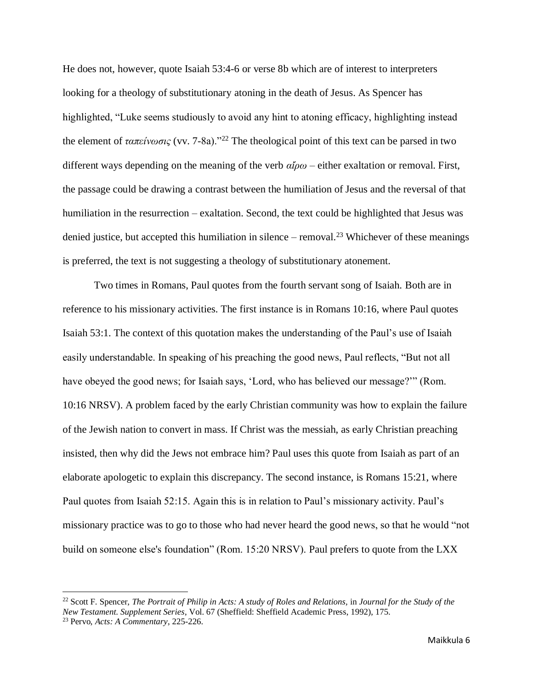He does not, however, quote Isaiah 53:4-6 or verse 8b which are of interest to interpreters looking for a theology of substitutionary atoning in the death of Jesus. As Spencer has highlighted, "Luke seems studiously to avoid any hint to atoning efficacy, highlighting instead the element of *ταπείνωσις* (vv. 7-8a)."<sup>22</sup> The theological point of this text can be parsed in two different ways depending on the meaning of the verb *αἴρω* – either exaltation or removal. First, the passage could be drawing a contrast between the humiliation of Jesus and the reversal of that humiliation in the resurrection – exaltation. Second, the text could be highlighted that Jesus was denied justice, but accepted this humiliation in silence – removal.<sup>23</sup> Whichever of these meanings is preferred, the text is not suggesting a theology of substitutionary atonement.

Two times in Romans, Paul quotes from the fourth servant song of Isaiah. Both are in reference to his missionary activities. The first instance is in Romans 10:16, where Paul quotes Isaiah 53:1. The context of this quotation makes the understanding of the Paul's use of Isaiah easily understandable. In speaking of his preaching the good news, Paul reflects, "But not all have obeyed the good news; for Isaiah says, 'Lord, who has believed our message?'" (Rom. 10:16 NRSV). A problem faced by the early Christian community was how to explain the failure of the Jewish nation to convert in mass. If Christ was the messiah, as early Christian preaching insisted, then why did the Jews not embrace him? Paul uses this quote from Isaiah as part of an elaborate apologetic to explain this discrepancy. The second instance, is Romans 15:21, where Paul quotes from Isaiah 52:15. Again this is in relation to Paul's missionary activity. Paul's missionary practice was to go to those who had never heard the good news, so that he would "not build on someone else's foundation" (Rom. 15:20 NRSV). Paul prefers to quote from the LXX

 $\overline{a}$ 

<sup>22</sup> Scott F. Spencer, *The Portrait of Philip in Acts: A study of Roles and Relations,* in *Journal for the Study of the New Testament. Supplement Series*, Vol. 67 (Sheffield: Sheffield Academic Press, 1992), 175. <sup>23</sup> Pervo, *Acts: A Commentary*, 225-226.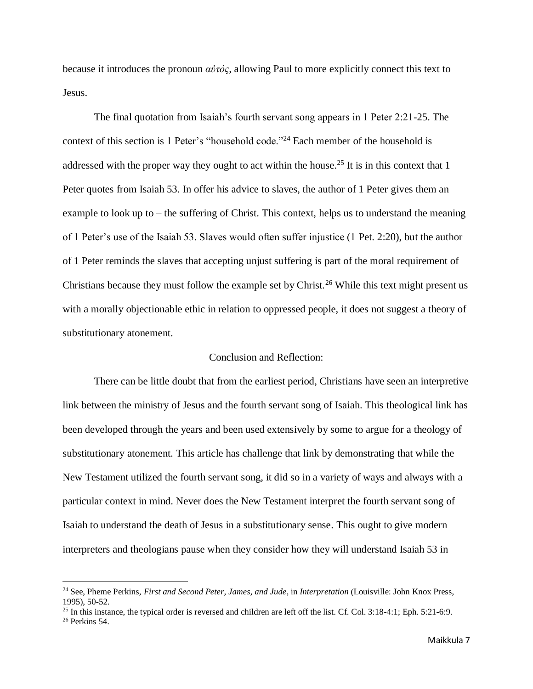because it introduces the pronoun *αὐτός,* allowing Paul to more explicitly connect this text to Jesus.

The final quotation from Isaiah's fourth servant song appears in 1 Peter 2:21-25. The context of this section is 1 Peter's "household code."<sup>24</sup> Each member of the household is addressed with the proper way they ought to act within the house.<sup>25</sup> It is in this context that 1 Peter quotes from Isaiah 53. In offer his advice to slaves, the author of 1 Peter gives them an example to look up to – the suffering of Christ. This context, helps us to understand the meaning of 1 Peter's use of the Isaiah 53. Slaves would often suffer injustice (1 Pet. 2:20), but the author of 1 Peter reminds the slaves that accepting unjust suffering is part of the moral requirement of Christians because they must follow the example set by Christ.<sup>26</sup> While this text might present us with a morally objectionable ethic in relation to oppressed people, it does not suggest a theory of substitutionary atonement.

## Conclusion and Reflection:

There can be little doubt that from the earliest period, Christians have seen an interpretive link between the ministry of Jesus and the fourth servant song of Isaiah. This theological link has been developed through the years and been used extensively by some to argue for a theology of substitutionary atonement. This article has challenge that link by demonstrating that while the New Testament utilized the fourth servant song, it did so in a variety of ways and always with a particular context in mind. Never does the New Testament interpret the fourth servant song of Isaiah to understand the death of Jesus in a substitutionary sense. This ought to give modern interpreters and theologians pause when they consider how they will understand Isaiah 53 in

 $\overline{\phantom{0}}$ 

<sup>24</sup> See, Pheme Perkins, *First and Second Peter, James, and Jude*, in *Interpretation* (Louisville: John Knox Press, 1995), 50-52.

 $25$  In this instance, the typical order is reversed and children are left off the list. Cf. Col. 3:18-4:1; Eph. 5:21-6:9.  $26$  Perkins 54.